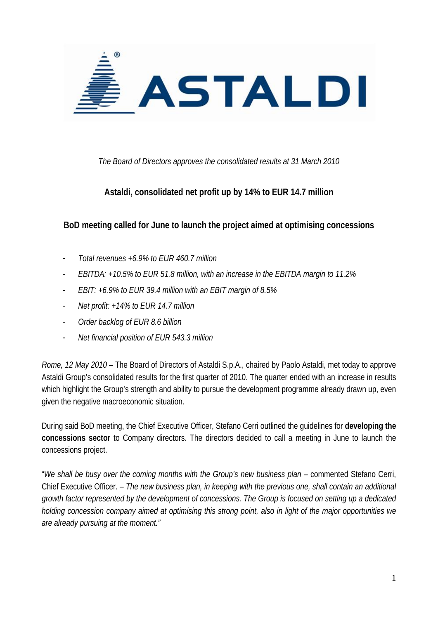

*The Board of Directors approves the consolidated results at 31 March 2010* 

# **Astaldi, consolidated net profit up by 14% to EUR 14.7 million**

**BoD meeting called for June to launch the project aimed at optimising concessions** 

- *Total revenues +6.9% to EUR 460.7 million*
- *EBITDA: +10.5% to EUR 51.8 million, with an increase in the EBITDA margin to 11.2%*
- *EBIT: +6.9% to EUR 39.4 million with an EBIT margin of 8.5%*
- *Net profit: +14% to EUR 14.7 million*
- *Order backlog of EUR 8.6 billion*
- *Net financial position of EUR 543.3 million*

*Rome, 12 May 2010* – The Board of Directors of Astaldi S.p.A., chaired by Paolo Astaldi, met today to approve Astaldi Group's consolidated results for the first quarter of 2010. The quarter ended with an increase in results which highlight the Group's strength and ability to pursue the development programme already drawn up, even given the negative macroeconomic situation.

During said BoD meeting, the Chief Executive Officer, Stefano Cerri outlined the guidelines for **developing the concessions sector** to Company directors. The directors decided to call a meeting in June to launch the concessions project.

"*We shall be busy over the coming months with the Group's new business plan* – commented Stefano Cerri, Chief Executive Officer. *– The new business plan, in keeping with the previous one, shall contain an additional growth factor represented by the development of concessions. The Group is focused on setting up a dedicated holding concession company aimed at optimising this strong point, also in light of the major opportunities we are already pursuing at the moment."*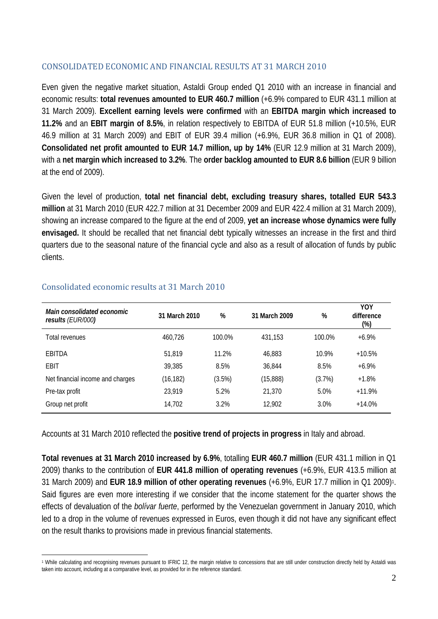# CONSOLIDATED ECONOMIC AND FINANCIAL RESULTS AT 31 MARCH 2010

Even given the negative market situation, Astaldi Group ended Q1 2010 with an increase in financial and economic results: **total revenues amounted to EUR 460.7 million** (+6.9% compared to EUR 431.1 million at 31 March 2009). **Excellent earning levels were confirmed** with an **EBITDA margin which increased to 11.2%** and an **EBIT margin of 8.5%**, in relation respectively to EBITDA of EUR 51.8 million (+10.5%, EUR 46.9 million at 31 March 2009) and EBIT of EUR 39.4 million (+6.9%, EUR 36.8 million in Q1 of 2008). **Consolidated net profit amounted to EUR 14.7 million, up by 14%** (EUR 12.9 million at 31 March 2009), with a **net margin which increased to 3.2%**. The **order backlog amounted to EUR 8.6 billion** (EUR 9 billion at the end of 2009).

Given the level of production, **total net financial debt, excluding treasury shares, totalled EUR 543.3 million** at 31 March 2010 (EUR 422.7 million at 31 December 2009 and EUR 422.4 million at 31 March 2009), showing an increase compared to the figure at the end of 2009, **yet an increase whose dynamics were fully envisaged.** It should be recalled that net financial debt typically witnesses an increase in the first and third quarters due to the seasonal nature of the financial cycle and also as a result of allocation of funds by public clients.

| Main consolidated economic<br>results (EUR/000) | 31 March 2010 | %      | 31 March 2009 | %      | YOY<br>difference<br>(%) |
|-------------------------------------------------|---------------|--------|---------------|--------|--------------------------|
| Total revenues                                  | 460,726       | 100.0% | 431,153       | 100.0% | $+6.9\%$                 |
| EBITDA                                          | 51,819        | 11.2%  | 46.883        | 10.9%  | $+10.5%$                 |
| EBIT                                            | 39,385        | 8.5%   | 36,844        | 8.5%   | $+6.9\%$                 |
| Net financial income and charges                | (16, 182)     | (3.5%) | (15,888)      | (3.7%) | $+1.8%$                  |
| Pre-tax profit                                  | 23,919        | 5.2%   | 21,370        | 5.0%   | $+11.9%$                 |
| Group net profit                                | 14,702        | 3.2%   | 12,902        | 3.0%   | $+14.0%$                 |

# Consolidated economic results at 31 March 2010

Accounts at 31 March 2010 reflected the **positive trend of projects in progress** in Italy and abroad.

**Total revenues at 31 March 2010 increased by 6.9%**, totalling **EUR 460.7 million** (EUR 431.1 million in Q1 2009) thanks to the contribution of **EUR 441.8 million of operating revenues** (+6.9%, EUR 413.5 million at 31 March 2009) and **EUR 18.9 million of other operating revenues** (+6.9%, EUR 17.7 million in Q1 2009)1. Said figures are even more interesting if we consider that the income statement for the quarter shows the effects of devaluation of the *bolívar fuerte*, performed by the Venezuelan government in January 2010, which led to a drop in the volume of revenues expressed in Euros, even though it did not have any significant effect on the result thanks to provisions made in previous financial statements.

 $\overline{a}$ 1 While calculating and recognising revenues pursuant to IFRIC 12, the margin relative to concessions that are still under construction directly held by Astaldi was taken into account, including at a comparative level, as provided for in the reference standard.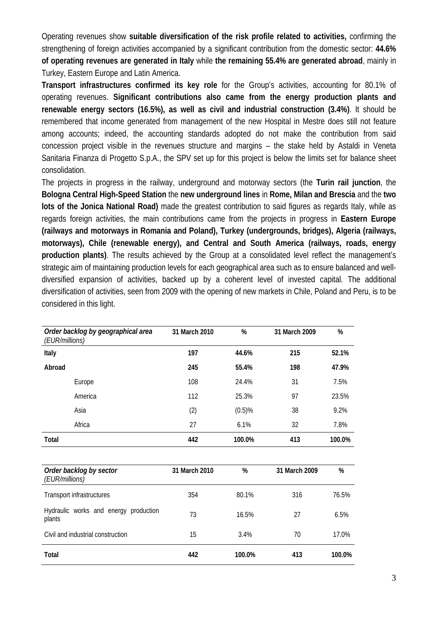Operating revenues show **suitable diversification of the risk profile related to activities,** confirming the strengthening of foreign activities accompanied by a significant contribution from the domestic sector: **44.6% of operating revenues are generated in Italy** while **the remaining 55.4% are generated abroad**, mainly in Turkey, Eastern Europe and Latin America.

**Transport infrastructures confirmed its key role** for the Group's activities, accounting for 80.1% of operating revenues. **Significant contributions also came from the energy production plants and renewable energy sectors (16.5%), as well as civil and industrial construction (3.4%)**. It should be remembered that income generated from management of the new Hospital in Mestre does still not feature among accounts; indeed, the accounting standards adopted do not make the contribution from said concession project visible in the revenues structure and margins – the stake held by Astaldi in Veneta Sanitaria Finanza di Progetto S.p.A., the SPV set up for this project is below the limits set for balance sheet consolidation.

The projects in progress in the railway, underground and motorway sectors (the **Turin rail junction**, the **Bologna Central High-Speed Station** the **new underground lines** in **Rome, Milan and Brescia** and the **two lots of the Jonica National Road)** made the greatest contribution to said figures as regards Italy, while as regards foreign activities, the main contributions came from the projects in progress in **Eastern Europe (railways and motorways in Romania and Poland), Turkey (undergrounds, bridges), Algeria (railways, motorways), Chile (renewable energy), and Central and South America (railways, roads, energy production plants)**. The results achieved by the Group at a consolidated level reflect the management's strategic aim of maintaining production levels for each geographical area such as to ensure balanced and welldiversified expansion of activities, backed up by a coherent level of invested capital. The additional diversification of activities, seen from 2009 with the opening of new markets in Chile, Poland and Peru, is to be considered in this light.

| Order backlog by geographical area<br>(EUR/millions) | 31 March 2010 | %      | 31 March 2009 | %      |
|------------------------------------------------------|---------------|--------|---------------|--------|
| Italy                                                | 197           | 44.6%  | 215           | 52.1%  |
| Abroad                                               | 245           | 55.4%  | 198           | 47.9%  |
| Europe                                               | 108           | 24.4%  | 31            | 7.5%   |
| America                                              | 112           | 25.3%  | 97            | 23.5%  |
| Asia                                                 | (2)           | (0.5)% | 38            | 9.2%   |
| Africa                                               | 27            | 6.1%   | 32            | 7.8%   |
| Total                                                | 442           | 100.0% | 413           | 100.0% |
|                                                      |               |        |               |        |
| Order backlog by sector<br>(EUR/millions)            | 31 March 2010 | %      | 31 March 2009 | %      |
| <b>Transport infrastructures</b>                     | 354           | 80.1%  | 316           | 76.5%  |
| Hydraulic works and energy production<br>plants      | 73            | 16.5%  | 27            | 6.5%   |
| Civil and industrial construction                    | 15            | 3.4%   | 70            | 17.0%  |
| Total                                                | 442           | 100.0% | 413           | 100.0% |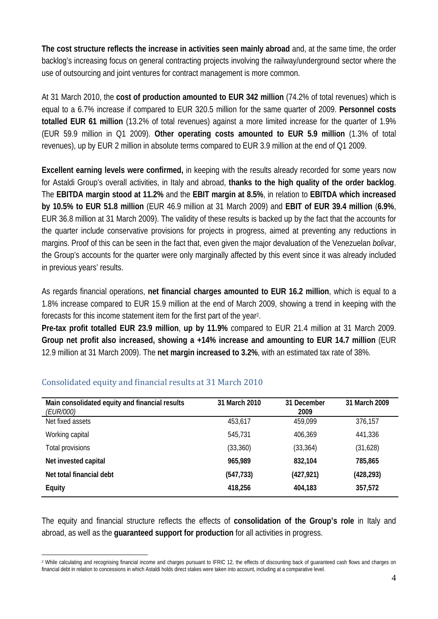**The cost structure reflects the increase in activities seen mainly abroad** and, at the same time, the order backlog's increasing focus on general contracting projects involving the railway/underground sector where the use of outsourcing and joint ventures for contract management is more common.

At 31 March 2010, the **cost of production amounted to EUR 342 million** (74.2% of total revenues) which is equal to a 6.7% increase if compared to EUR 320.5 million for the same quarter of 2009. **Personnel costs totalled EUR 61 million** (13.2% of total revenues) against a more limited increase for the quarter of 1.9% (EUR 59.9 million in Q1 2009). **Other operating costs amounted to EUR 5.9 million** (1.3% of total revenues), up by EUR 2 million in absolute terms compared to EUR 3.9 million at the end of Q1 2009.

**Excellent earning levels were confirmed,** in keeping with the results already recorded for some years now for Astaldi Group's overall activities, in Italy and abroad, **thanks to the high quality of the order backlog**. The **EBITDA margin stood at 11.2%** and the **EBIT margin at 8.5%**, in relation to **EBITDA which increased by 10.5% to EUR 51.8 million** (EUR 46.9 million at 31 March 2009) and **EBIT of EUR 39.4 million** (**6.9%**, EUR 36.8 million at 31 March 2009). The validity of these results is backed up by the fact that the accounts for the quarter include conservative provisions for projects in progress, aimed at preventing any reductions in margins. Proof of this can be seen in the fact that, even given the major devaluation of the Venezuelan *bolivar*, the Group's accounts for the quarter were only marginally affected by this event since it was already included in previous years' results.

As regards financial operations, **net financial charges amounted to EUR 16.2 million**, which is equal to a 1.8% increase compared to EUR 15.9 million at the end of March 2009, showing a trend in keeping with the forecasts for this income statement item for the first part of the year2.

**Pre-tax profit totalled EUR 23.9 million**, **up by 11.9%** compared to EUR 21.4 million at 31 March 2009. **Group net profit also increased, showing a +14% increase and amounting to EUR 14.7 million** (EUR 12.9 million at 31 March 2009). The **net margin increased to 3.2%**, with an estimated tax rate of 38%.

| Main consolidated equity and financial results<br><i>(EUR/000)</i> | 31 March 2010 | 31 December<br>2009 | 31 March 2009 |
|--------------------------------------------------------------------|---------------|---------------------|---------------|
| Net fixed assets                                                   | 453,617       | 459,099             | 376,157       |
| Working capital                                                    | 545,731       | 406,369             | 441,336       |
| Total provisions                                                   | (33, 360)     | (33, 364)           | (31,628)      |
| Net invested capital                                               | 965,989       | 832,104             | 785,865       |
| Net total financial debt                                           | (547, 733)    | (427, 921)          | (428, 293)    |
| <b>Equity</b>                                                      | 418,256       | 404,183             | 357,572       |

# Consolidated equity and financial results at 31 March 2010

The equity and financial structure reflects the effects of **consolidation of the Group's role** in Italy and abroad, as well as the **guaranteed support for production** for all activities in progress.

 $\overline{a}$ <sup>2</sup> While calculating and recognising financial income and charges pursuant to IFRIC 12, the effects of discounting back of guaranteed cash flows and charges on financial debt in relation to concessions in which Astaldi holds direct stakes were taken into account, including at a comparative level.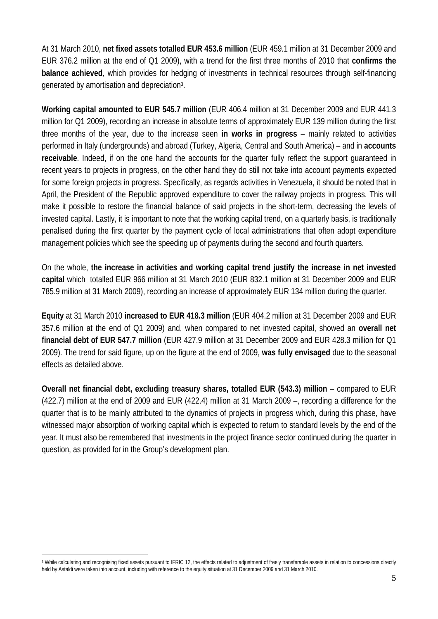At 31 March 2010, **net fixed assets totalled EUR 453.6 million** (EUR 459.1 million at 31 December 2009 and EUR 376.2 million at the end of Q1 2009), with a trend for the first three months of 2010 that **confirms the balance achieved**, which provides for hedging of investments in technical resources through self-financing generated by amortisation and depreciation3.

**Working capital amounted to EUR 545.7 million** (EUR 406.4 million at 31 December 2009 and EUR 441.3 million for Q1 2009), recording an increase in absolute terms of approximately EUR 139 million during the first three months of the year, due to the increase seen **in works in progress** – mainly related to activities performed in Italy (undergrounds) and abroad (Turkey, Algeria, Central and South America) – and in **accounts receivable**. Indeed, if on the one hand the accounts for the quarter fully reflect the support guaranteed in recent years to projects in progress, on the other hand they do still not take into account payments expected for some foreign projects in progress. Specifically, as regards activities in Venezuela, it should be noted that in April, the President of the Republic approved expenditure to cover the railway projects in progress. This will make it possible to restore the financial balance of said projects in the short-term, decreasing the levels of invested capital. Lastly, it is important to note that the working capital trend, on a quarterly basis, is traditionally penalised during the first quarter by the payment cycle of local administrations that often adopt expenditure management policies which see the speeding up of payments during the second and fourth quarters.

On the whole, **the increase in activities and working capital trend justify the increase in net invested capital** whichtotalled EUR 966 million at 31 March 2010 (EUR 832.1 million at 31 December 2009 and EUR 785.9 million at 31 March 2009), recording an increase of approximately EUR 134 million during the quarter.

**Equity** at 31 March 2010 **increased to EUR 418.3 million** (EUR 404.2 million at 31 December 2009 and EUR 357.6 million at the end of Q1 2009) and, when compared to net invested capital, showed an **overall net financial debt of EUR 547.7 million** (EUR 427.9 million at 31 December 2009 and EUR 428.3 million for Q1 2009). The trend for said figure, up on the figure at the end of 2009, **was fully envisaged** due to the seasonal effects as detailed above.

**Overall net financial debt, excluding treasury shares, totalled EUR (543.3) million** – compared to EUR (422.7) million at the end of 2009 and EUR (422.4) million at 31 March 2009 –, recording a difference for the quarter that is to be mainly attributed to the dynamics of projects in progress which, during this phase, have witnessed major absorption of working capital which is expected to return to standard levels by the end of the year. It must also be remembered that investments in the project finance sector continued during the quarter in question, as provided for in the Group's development plan.

 $\overline{a}$ <sup>3</sup> While calculating and recognising fixed assets pursuant to IFRIC 12, the effects related to adjustment of freely transferable assets in relation to concessions directly held by Astaldi were taken into account, including with reference to the equity situation at 31 December 2009 and 31 March 2010.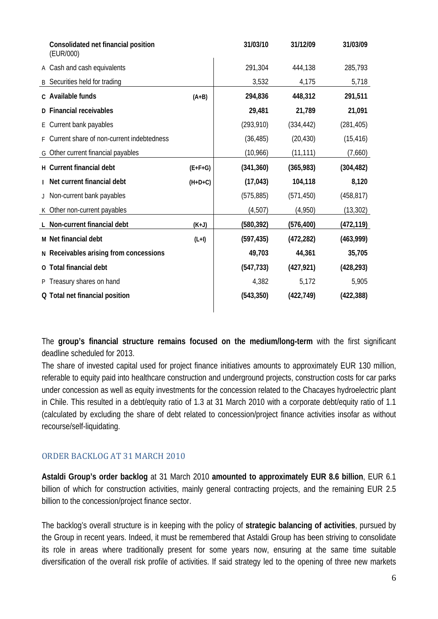|   | Consolidated net financial position<br>(EUR/000) |           | 31/03/10   | 31/12/09   | 31/03/09   |
|---|--------------------------------------------------|-----------|------------|------------|------------|
|   | A Cash and cash equivalents                      |           | 291,304    | 444,138    | 285,793    |
| B | Securities held for trading                      |           | 3,532      | 4,175      | 5,718      |
|   | c Available funds                                | $(A+B)$   | 294,836    | 448,312    | 291,511    |
|   | D Financial receivables                          |           | 29,481     | 21,789     | 21,091     |
|   | E Current bank payables                          |           | (293, 910) | (334, 442) | (281, 405) |
|   | Current share of non-current indebtedness        |           | (36, 485)  | (20, 430)  | (15, 416)  |
|   | G Other current financial payables               |           | (10,966)   | (11, 111)  | (7,660)    |
|   | H Current financial debt                         | $(E+F+G)$ | (341, 360) | (365, 983) | (304, 482) |
|   | Net current financial debt                       | $(H+D+C)$ | (17, 043)  | 104,118    | 8,120      |
|   | Non-current bank payables                        |           | (575, 885) | (571, 450) | (458, 817) |
|   | K Other non-current payables                     |           | (4,507)    | (4,950)    | (13, 302)  |
|   | L Non-current financial debt                     | $(K+J)$   | (580, 392) | (576, 400) | (472, 119) |
|   | M Net financial debt                             | $(L+I)$   | (597, 435) | (472, 282) | (463,999)  |
|   | N Receivables arising from concessions           |           | 49,703     | 44,361     | 35,705     |
|   | O Total financial debt                           |           | (547, 733) | (427, 921) | (428, 293) |
|   | P Treasury shares on hand                        |           | 4,382      | 5,172      | 5,905      |
|   | Q Total net financial position                   |           | (543, 350) | (422, 749) | (422, 388) |
|   |                                                  |           |            |            |            |

The **group's financial structure remains focused on the medium/long-term** with the first significant deadline scheduled for 2013.

The share of invested capital used for project finance initiatives amounts to approximately EUR 130 million, referable to equity paid into healthcare construction and underground projects, construction costs for car parks under concession as well as equity investments for the concession related to the Chacayes hydroelectric plant in Chile. This resulted in a debt/equity ratio of 1.3 at 31 March 2010 with a corporate debt/equity ratio of 1.1 (calculated by excluding the share of debt related to concession/project finance activities insofar as without recourse/self-liquidating.

# ORDER BACKLOG AT 31 MARCH 2010

**Astaldi Group's order backlog** at 31 March 2010 **amounted to approximately EUR 8.6 billion**, EUR 6.1 billion of which for construction activities, mainly general contracting projects, and the remaining EUR 2.5 billion to the concession/project finance sector.

The backlog's overall structure is in keeping with the policy of **strategic balancing of activities**, pursued by the Group in recent years. Indeed, it must be remembered that Astaldi Group has been striving to consolidate its role in areas where traditionally present for some years now, ensuring at the same time suitable diversification of the overall risk profile of activities. If said strategy led to the opening of three new markets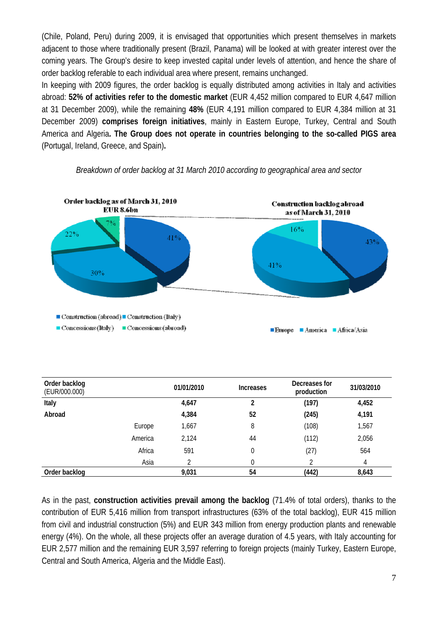(Chile, Poland, Peru) during 2009, it is envisaged that opportunities which present themselves in markets adjacent to those where traditionally present (Brazil, Panama) will be looked at with greater interest over the coming years. The Group's desire to keep invested capital under levels of attention, and hence the share of order backlog referable to each individual area where present, remains unchanged.

In keeping with 2009 figures, the order backlog is equally distributed among activities in Italy and activities abroad: **52% of activities refer to the domestic market** (EUR 4,452 million compared to EUR 4,647 million at 31 December 2009), while the remaining **48%** (EUR 4,191 million compared to EUR 4,384 million at 31 December 2009) **comprises foreign initiatives**, mainly in Eastern Europe, Turkey, Central and South America and Algeria**. The Group does not operate in countries belonging to the so-called PIGS area**  (Portugal, Ireland, Greece, and Spain)**.** 



#### *Breakdown of order backlog at 31 March 2010 according to geographical area and sector*

| Order backlog<br>(EUR/000.000) | 01/01/2010 |       | <b>Increases</b> | Decreases for<br>production | 31/03/2010 |
|--------------------------------|------------|-------|------------------|-----------------------------|------------|
| Italy                          |            | 4,647 | 2                | (197)                       | 4,452      |
| Abroad                         |            | 4,384 | 52               | (245)                       | 4,191      |
|                                | Europe     | 1,667 | 8                | (108)                       | 1,567      |
|                                | America    | 2,124 | 44               | (112)                       | 2,056      |
|                                | Africa     | 591   | 0                | (27)                        | 564        |
|                                | Asia       | າ     |                  |                             | 4          |
| Order backlog                  |            | 9,031 | 54               | (442)                       | 8,643      |

As in the past, **construction activities prevail among the backlog** (71.4% of total orders), thanks to the contribution of EUR 5,416 million from transport infrastructures (63% of the total backlog), EUR 415 million from civil and industrial construction (5%) and EUR 343 million from energy production plants and renewable energy (4%). On the whole, all these projects offer an average duration of 4.5 years, with Italy accounting for EUR 2,577 million and the remaining EUR 3,597 referring to foreign projects (mainly Turkey, Eastern Europe, Central and South America, Algeria and the Middle East).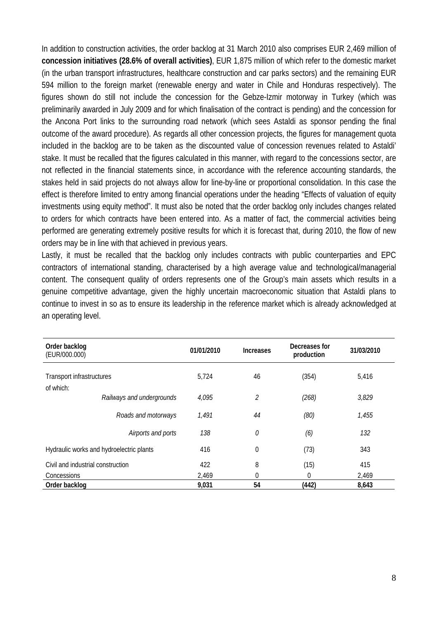In addition to construction activities, the order backlog at 31 March 2010 also comprises EUR 2,469 million of **concession initiatives (28.6% of overall activities)**, EUR 1,875 million of which refer to the domestic market (in the urban transport infrastructures, healthcare construction and car parks sectors) and the remaining EUR 594 million to the foreign market (renewable energy and water in Chile and Honduras respectively). The figures shown do still not include the concession for the Gebze-Izmir motorway in Turkey (which was preliminarily awarded in July 2009 and for which finalisation of the contract is pending) and the concession for the Ancona Port links to the surrounding road network (which sees Astaldi as sponsor pending the final outcome of the award procedure). As regards all other concession projects, the figures for management quota included in the backlog are to be taken as the discounted value of concession revenues related to Astaldi' stake. It must be recalled that the figures calculated in this manner, with regard to the concessions sector, are not reflected in the financial statements since, in accordance with the reference accounting standards, the stakes held in said projects do not always allow for line-by-line or proportional consolidation. In this case the effect is therefore limited to entry among financial operations under the heading "Effects of valuation of equity investments using equity method". It must also be noted that the order backlog only includes changes related to orders for which contracts have been entered into. As a matter of fact, the commercial activities being performed are generating extremely positive results for which it is forecast that, during 2010, the flow of new orders may be in line with that achieved in previous years.

Lastly, it must be recalled that the backlog only includes contracts with public counterparties and EPC contractors of international standing, characterised by a high average value and technological/managerial content. The consequent quality of orders represents one of the Group's main assets which results in a genuine competitive advantage, given the highly uncertain macroeconomic situation that Astaldi plans to continue to invest in so as to ensure its leadership in the reference market which is already acknowledged at an operating level.

| Order backlog<br>(EUR/000.000)           |                           | 01/01/2010 | <b>Increases</b> | Decreases for<br>production | 31/03/2010 |
|------------------------------------------|---------------------------|------------|------------------|-----------------------------|------------|
| Transport infrastructures                |                           | 5,724      | 46               | (354)                       | 5,416      |
| of which:                                | Railways and undergrounds | 4,095      | 2                | (268)                       | 3,829      |
|                                          | Roads and motorways       | 1,491      | 44               | (80)                        | 1,455      |
|                                          | Airports and ports        | 138        | 0                | (6)                         | 132        |
| Hydraulic works and hydroelectric plants |                           | 416        | $\theta$         | (73)                        | 343        |
| Civil and industrial construction        |                           | 422        | 8                | (15)                        | 415        |
| Concessions                              |                           | 2,469      | 0                | 0                           | 2,469      |
| Order backlog                            |                           | 9,031      | 54               | (442)                       | 8,643      |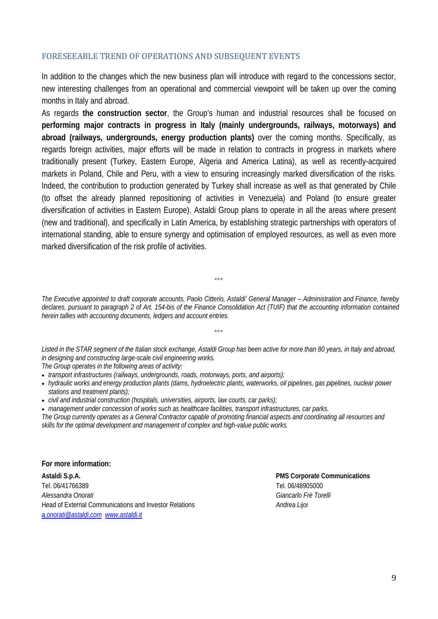#### FORESEEABLE TREND OF OPERATIONS AND SUBSEQUENT EVENTS

In addition to the changes which the new business plan will introduce with regard to the concessions sector, new interesting challenges from an operational and commercial viewpoint will be taken up over the coming months in Italy and abroad.

As regards **the construction sector**, the Group's human and industrial resources shall be focused on **performing major contracts in progress in Italy (mainly undergrounds, railways, motorways) and abroad (railways, undergrounds, energy production plants)** over the coming months. Specifically, as regards foreign activities, major efforts will be made in relation to contracts in progress in markets where traditionally present (Turkey, Eastern Europe, Algeria and America Latina), as well as recently-acquired markets in Poland, Chile and Peru, with a view to ensuring increasingly marked diversification of the risks. Indeed, the contribution to production generated by Turkey shall increase as well as that generated by Chile (to offset the already planned repositioning of activities in Venezuela) and Poland (to ensure greater diversification of activities in Eastern Europe). Astaldi Group plans to operate in all the areas where present (new and traditional), and specifically in Latin America, by establishing strategic partnerships with operators of international standing, able to ensure synergy and optimisation of employed resources, as well as even more marked diversification of the risk profile of activities.

*The Executive appointed to draft corporate accounts, Paolo Citterio, Astaldi' General Manager – Administration and Finance, hereby declares, pursuant to paragraph 2 of Art. 154-bis of the Finance Consolidation Act (TUIF) that the accounting information contained herein tallies with accounting documents, ledgers and account entries.* 

°°°

*Listed in the STAR segment of the Italian stock exchange, Astaldi Group has been active for more than 80 years, in Italy and abroad, in designing and constructing large-scale civil engineering works. The Group operates in the following areas of activity:* 

 $000$ 

- *transport infrastructures (railways, undergrounds, roads, motorways, ports, and airports);*
- *hydraulic works and energy production plants (dams, hydroelectric plants, waterworks, oil pipelines, gas pipelines, nuclear power stations and treatment plants);*
- *civil and industrial construction (hospitals, universities, airports, law courts, car parks);*
- *management under concession of works such as healthcare facilities, transport infrastructures, car parks.*

*The Group currently operates as a General Contractor capable of promoting financial aspects and coordinating all resources and skills for the optimal development and management of complex and high-value public works.* 

**For more information:** 

**Astaldi S.p.A. PMS Corporate Communications**  Tel. 06/41766389 Tel. 06/48905000 *Alessandra Onorati Giancarlo Frè Torelli* Head of External Communications and Investor Relations *Andrea Lijoi a.onorati@astaldi.com www.astaldi.it*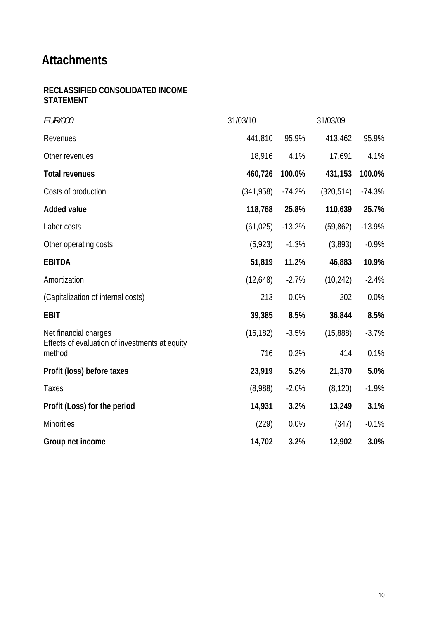# **Attachments**

# **RECLASSIFIED CONSOLIDATED INCOME STATEMENT**

| <b>EUR/000</b>                                           | 31/03/10  |          | 31/03/09   |          |
|----------------------------------------------------------|-----------|----------|------------|----------|
| Revenues                                                 | 441,810   | 95.9%    | 413,462    | 95.9%    |
| Other revenues                                           | 18,916    | 4.1%     | 17,691     | 4.1%     |
| <b>Total revenues</b>                                    | 460,726   | 100.0%   | 431,153    | 100.0%   |
| Costs of production                                      | (341,958) | $-74.2%$ | (320, 514) | $-74.3%$ |
| <b>Added value</b>                                       | 118,768   | 25.8%    | 110,639    | 25.7%    |
| Labor costs                                              | (61, 025) | $-13.2%$ | (59, 862)  | $-13.9%$ |
| Other operating costs                                    | (5, 923)  | $-1.3%$  | (3,893)    | $-0.9%$  |
| <b>EBITDA</b>                                            | 51,819    | 11.2%    | 46,883     | 10.9%    |
| Amortization                                             | (12,648)  | $-2.7%$  | (10, 242)  | $-2.4%$  |
| (Capitalization of internal costs)                       | 213       | 0.0%     | 202        | 0.0%     |
| <b>EBIT</b>                                              | 39,385    | 8.5%     | 36,844     | 8.5%     |
| Net financial charges                                    | (16, 182) | $-3.5%$  | (15,888)   | $-3.7%$  |
| Effects of evaluation of investments at equity<br>method | 716       | 0.2%     | 414        | 0.1%     |
| Profit (loss) before taxes                               | 23,919    | 5.2%     | 21,370     | 5.0%     |
| Taxes                                                    | (8,988)   | $-2.0%$  | (8, 120)   | $-1.9%$  |
| Profit (Loss) for the period                             | 14,931    | 3.2%     | 13,249     | 3.1%     |
| <b>Minorities</b>                                        | (229)     | 0.0%     | (347)      | $-0.1%$  |
| Group net income                                         | 14,702    | 3.2%     | 12,902     | 3.0%     |